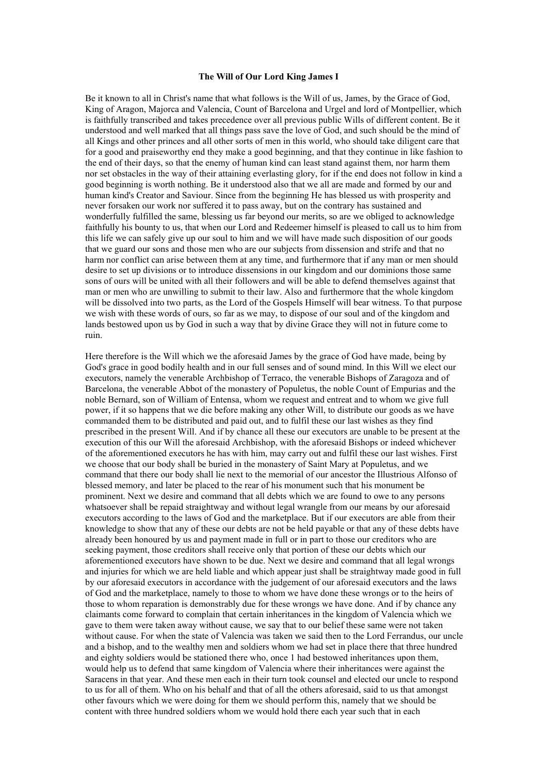## **The Will of Our Lord King James I**

Be it known to all in Christ's name that what follows is the Will of us, James, by the Grace of God, King of Aragon, Majorca and Valencia, Count of Barcelona and Urgel and lord of Montpellier, which is faithfully transcribed and takes precedence over all previous public Wills of different content. Be it understood and well marked that all things pass save the love of God, and such should be the mind of all Kings and other princes and all other sorts of men in this world, who should take diligent care that for a good and praiseworthy end they make a good beginning, and that they continue in like fashion to the end of their days, so that the enemy of human kind can least stand against them, nor harm them nor set obstacles in the way of their attaining everlasting glory, for if the end does not follow in kind a good beginning is worth nothing. Be it understood also that we all are made and formed by our and human kind's Creator and Saviour. Since from the beginning He has blessed us with prosperity and never forsaken our work nor suffered it to pass away, but on the contrary has sustained and wonderfully fulfilled the same, blessing us far beyond our merits, so are we obliged to acknowledge faithfully his bounty to us, that when our Lord and Redeemer himself is pleased to call us to him from this life we can safely give up our soul to him and we will have made such disposition of our goods that we guard our sons and those men who are our subjects from dissension and strife and that no harm nor conflict can arise between them at any time, and furthermore that if any man or men should desire to set up divisions or to introduce dissensions in our kingdom and our dominions those same sons of ours will be united with all their followers and will be able to defend themselves against that man or men who are unwilling to submit to their law. Also and furthermore that the whole kingdom will be dissolved into two parts, as the Lord of the Gospels Himself will bear witness. To that purpose we wish with these words of ours, so far as we may, to dispose of our soul and of the kingdom and lands bestowed upon us by God in such a way that by divine Grace they will not in future come to ruin.

Here therefore is the Will which we the aforesaid James by the grace of God have made, being by God's grace in good bodily health and in our full senses and of sound mind. In this Will we elect our executors, namely the venerable Archbishop of Terraco, the venerable Bishops of Zaragoza and of Barcelona, the venerable Abbot of the monastery of Populetus, the noble Count of Empurias and the noble Bernard, son of William of Entensa, whom we request and entreat and to whom we give full power, if it so happens that we die before making any other Will, to distribute our goods as we have commanded them to be distributed and paid out, and to fulfil these our last wishes as they find prescribed in the present Will. And if by chance all these our executors are unable to be present at the execution of this our Will the aforesaid Archbishop, with the aforesaid Bishops or indeed whichever of the aforementioned executors he has with him, may carry out and fulfil these our last wishes. First we choose that our body shall be buried in the monastery of Saint Mary at Populetus, and we command that there our body shall lie next to the memorial of our ancestor the Illustrious Alfonso of blessed memory, and later be placed to the rear of his monument such that his monument be prominent. Next we desire and command that all debts which we are found to owe to any persons whatsoever shall be repaid straightway and without legal wrangle from our means by our aforesaid executors according to the laws of God and the marketplace. But if our executors are able from their knowledge to show that any of these our debts are not be held payable or that any of these debts have already been honoured by us and payment made in full or in part to those our creditors who are seeking payment, those creditors shall receive only that portion of these our debts which our aforementioned executors have shown to be due. Next we desire and command that all legal wrongs and injuries for which we are held liable and which appear just shall be straightway made good in full by our aforesaid executors in accordance with the judgement of our aforesaid executors and the laws of God and the marketplace, namely to those to whom we have done these wrongs or to the heirs of those to whom reparation is demonstrably due for these wrongs we have done. And if by chance any claimants come forward to complain that certain inheritances in the kingdom of Valencia which we gave to them were taken away without cause, we say that to our belief these same were not taken without cause. For when the state of Valencia was taken we said then to the Lord Ferrandus, our uncle and a bishop, and to the wealthy men and soldiers whom we had set in place there that three hundred and eighty soldiers would be stationed there who, once 1 had bestowed inheritances upon them, would help us to defend that same kingdom of Valencia where their inheritances were against the Saracens in that year. And these men each in their turn took counsel and elected our uncle to respond to us for all of them. Who on his behalf and that of all the others aforesaid, said to us that amongst other favours which we were doing for them we should perform this, namely that we should be content with three hundred soldiers whom we would hold there each year such that in each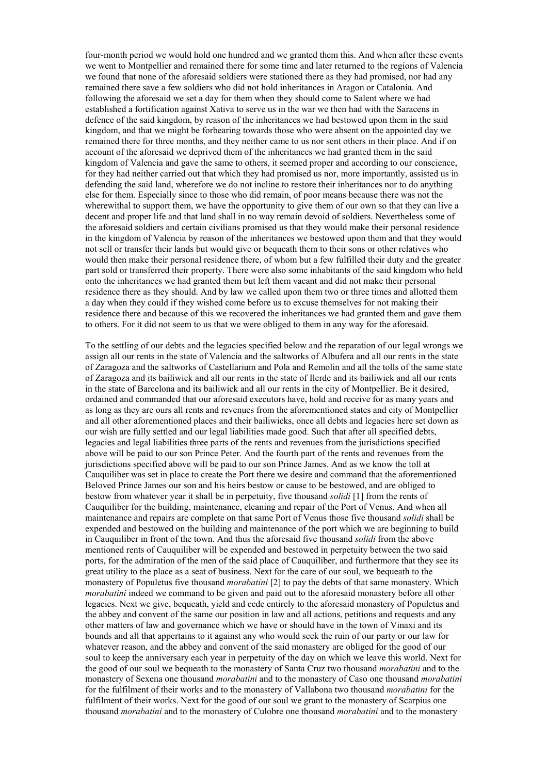four-month period we would hold one hundred and we granted them this. And when after these events we went to Montpellier and remained there for some time and later returned to the regions of Valencia we found that none of the aforesaid soldiers were stationed there as they had promised, nor had any remained there save a few soldiers who did not hold inheritances in Aragon or Catalonia. And following the aforesaid we set a day for them when they should come to Salent where we had established a fortification against Xativa to serve us in the war we then had with the Saracens in defence of the said kingdom, by reason of the inheritances we had bestowed upon them in the said kingdom, and that we might be forbearing towards those who were absent on the appointed day we remained there for three months, and they neither came to us nor sent others in their place. And if on account of the aforesaid we deprived them of the inheritances we had granted them in the said kingdom of Valencia and gave the same to others, it seemed proper and according to our conscience, for they had neither carried out that which they had promised us nor, more importantly, assisted us in defending the said land, wherefore we do not incline to restore their inheritances nor to do anything else for them. Especially since to those who did remain, of poor means because there was not the wherewithal to support them, we have the opportunity to give them of our own so that they can live a decent and proper life and that land shall in no way remain devoid of soldiers. Nevertheless some of the aforesaid soldiers and certain civilians promised us that they would make their personal residence in the kingdom of Valencia by reason of the inheritances we bestowed upon them and that they would not sell or transfer their lands but would give or bequeath them to their sons or other relatives who would then make their personal residence there, of whom but a few fulfilled their duty and the greater part sold or transferred their property. There were also some inhabitants of the said kingdom who held onto the inheritances we had granted them but left them vacant and did not make their personal residence there as they should. And by law we called upon them two or three times and allotted them a day when they could if they wished come before us to excuse themselves for not making their residence there and because of this we recovered the inheritances we had granted them and gave them to others. For it did not seem to us that we were obliged to them in any way for the aforesaid.

To the settling of our debts and the legacies specified below and the reparation of our legal wrongs we assign all our rents in the state of Valencia and the saltworks of Albufera and all our rents in the state of Zaragoza and the saltworks of Castellarium and Pola and Remolin and all the tolls of the same state of Zaragoza and its bailiwick and all our rents in the state of Ilerde and its bailiwick and all our rents in the state of Barcelona and its bailiwick and all our rents in the city of Montpellier. Be it desired, ordained and commanded that our aforesaid executors have, hold and receive for as many years and as long as they are ours all rents and revenues from the aforementioned states and city of Montpellier and all other aforementioned places and their bailiwicks, once all debts and legacies here set down as our wish are fully settled and our legal liabilities made good. Such that after all specified debts, legacies and legal liabilities three parts of the rents and revenues from the jurisdictions specified above will be paid to our son Prince Peter. And the fourth part of the rents and revenues from the jurisdictions specified above will be paid to our son Prince James. And as we know the toll at Cauquiliber was set in place to create the Port there we desire and command that the aforementioned Beloved Prince James our son and his heirs bestow or cause to be bestowed, and are obliged to bestow from whatever year it shall be in perpetuity, five thousand *solidi* [1] from the rents of Cauquiliber for the building, maintenance, cleaning and repair of the Port of Venus. And when all maintenance and repairs are complete on that same Port of Venus those five thousand *solidi* shall be expended and bestowed on the building and maintenance of the port which we are beginning to build in Cauquiliber in front of the town. And thus the aforesaid five thousand *solidi* from the above mentioned rents of Cauquiliber will be expended and bestowed in perpetuity between the two said ports, for the admiration of the men of the said place of Cauquiliber, and furthermore that they see its great utility to the place as a seat of business. Next for the care of our soul, we bequeath to the monastery of Populetus five thousand *morabatini* [2] to pay the debts of that same monastery. Which *morabatini* indeed we command to be given and paid out to the aforesaid monastery before all other legacies. Next we give, bequeath, yield and cede entirely to the aforesaid monastery of Populetus and the abbey and convent of the same our position in law and all actions, petitions and requests and any other matters of law and governance which we have or should have in the town of Vinaxi and its bounds and all that appertains to it against any who would seek the ruin of our party or our law for whatever reason, and the abbey and convent of the said monastery are obliged for the good of our soul to keep the anniversary each year in perpetuity of the day on which we leave this world. Next for the good of our soul we bequeath to the monastery of Santa Cruz two thousand *morabatini* and to the monastery of Sexena one thousand *morabatini* and to the monastery of Caso one thousand *morabatini*  for the fulfilment of their works and to the monastery of Vallabona two thousand *morabatini* for the fulfilment of their works. Next for the good of our soul we grant to the monastery of Scarpius one thousand *morabatini* and to the monastery of Culobre one thousand *morabatini* and to the monastery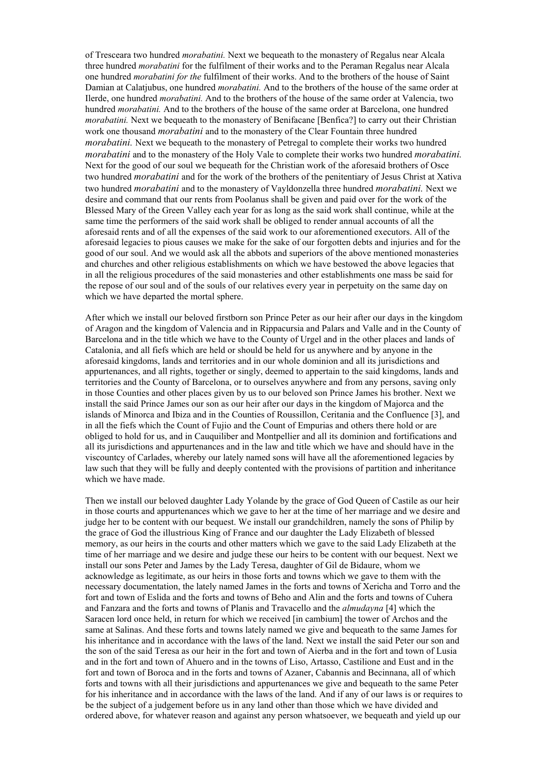of Tresceara two hundred *morabatini.* Next we bequeath to the monastery of Regalus near Alcala three hundred *morabatini* for the fulfilment of their works and to the Peraman Regalus near Alcala one hundred *morabatini for the* fulfilment of their works. And to the brothers of the house of Saint Damian at Calatjubus, one hundred *morabatini.* And to the brothers of the house of the same order at Ilerde, one hundred *morabatini.* And to the brothers of the house of the same order at Valencia, two hundred *morabatini.* And to the brothers of the house of the same order at Barcelona, one hundred *morabatini.* Next we bequeath to the monastery of Benifacane [Benfica?] to carry out their Christian work one thousand *morabatini* and to the monastery of the Clear Fountain three hundred *morabatini*. Next we bequeath to the monastery of Petregal to complete their works two hundred *morabatini* and to the monastery of the Holy Vale to complete their works two hundred *morabatini.*  Next for the good of our soul we bequeath for the Christian work of the aforesaid brothers of Osce two hundred *morabatini* and for the work of the brothers of the penitentiary of Jesus Christ at Xativa two hundred *morabatini* and to the monastery of Vayldonzella three hundred *morabatini.* Next we desire and command that our rents from Poolanus shall be given and paid over for the work of the Blessed Mary of the Green Valley each year for as long as the said work shall continue, while at the same time the performers of the said work shall be obliged to render annual accounts of all the aforesaid rents and of all the expenses of the said work to our aforementioned executors. All of the aforesaid legacies to pious causes we make for the sake of our forgotten debts and injuries and for the good of our soul. And we would ask all the abbots and superiors of the above mentioned monasteries and churches and other religious establishments on which we have bestowed the above legacies that in all the religious procedures of the said monasteries and other establishments one mass be said for the repose of our soul and of the souls of our relatives every year in perpetuity on the same day on which we have departed the mortal sphere.

After which we install our beloved firstborn son Prince Peter as our heir after our days in the kingdom of Aragon and the kingdom of Valencia and in Rippacursia and Palars and Valle and in the County of Barcelona and in the title which we have to the County of Urgel and in the other places and lands of Catalonia, and all fiefs which are held or should be held for us anywhere and by anyone in the aforesaid kingdoms, lands and territories and in our whole dominion and all its jurisdictions and appurtenances, and all rights, together or singly, deemed to appertain to the said kingdoms, lands and territories and the County of Barcelona, or to ourselves anywhere and from any persons, saving only in those Counties and other places given by us to our beloved son Prince James his brother. Next we install the said Prince James our son as our heir after our days in the kingdom of Majorca and the islands of Minorca and Ibiza and in the Counties of Roussillon, Ceritania and the Confluence [3], and in all the fiefs which the Count of Fujio and the Count of Empurias and others there hold or are obliged to hold for us, and in Cauquiliber and Montpellier and all its dominion and fortifications and all its jurisdictions and appurtenances and in the law and title which we have and should have in the viscountcy of Carlades, whereby our lately named sons will have all the aforementioned legacies by law such that they will be fully and deeply contented with the provisions of partition and inheritance which we have made.

Then we install our beloved daughter Lady Yolande by the grace of God Queen of Castile as our heir in those courts and appurtenances which we gave to her at the time of her marriage and we desire and judge her to be content with our bequest. We install our grandchildren, namely the sons of Philip by the grace of God the illustrious King of France and our daughter the Lady Elizabeth of blessed memory, as our heirs in the courts and other matters which we gave to the said Lady Elizabeth at the time of her marriage and we desire and judge these our heirs to be content with our bequest. Next we install our sons Peter and James by the Lady Teresa, daughter of Gil de Bidaure, whom we acknowledge as legitimate, as our heirs in those forts and towns which we gave to them with the necessary documentation, the lately named James in the forts and towns of Xericha and Torro and the fort and town of Eslida and the forts and towns of Beho and Alin and the forts and towns of Cuhera and Fanzara and the forts and towns of Planis and Travacello and the *almudayna* [4] which the Saracen lord once held, in return for which we received [in cambium] the tower of Archos and the same at Salinas. And these forts and towns lately named we give and bequeath to the same James for his inheritance and in accordance with the laws of the land. Next we install the said Peter our son and the son of the said Teresa as our heir in the fort and town of Aierba and in the fort and town of Lusia and in the fort and town of Ahuero and in the towns of Liso, Artasso, Castilione and Eust and in the fort and town of Boroca and in the forts and towns of Azaner, Cabannis and Becinnana, all of which forts and towns with all their jurisdictions and appurtenances we give and bequeath to the same Peter for his inheritance and in accordance with the laws of the land. And if any of our laws is or requires to be the subject of a judgement before us in any land other than those which we have divided and ordered above, for whatever reason and against any person whatsoever, we bequeath and yield up our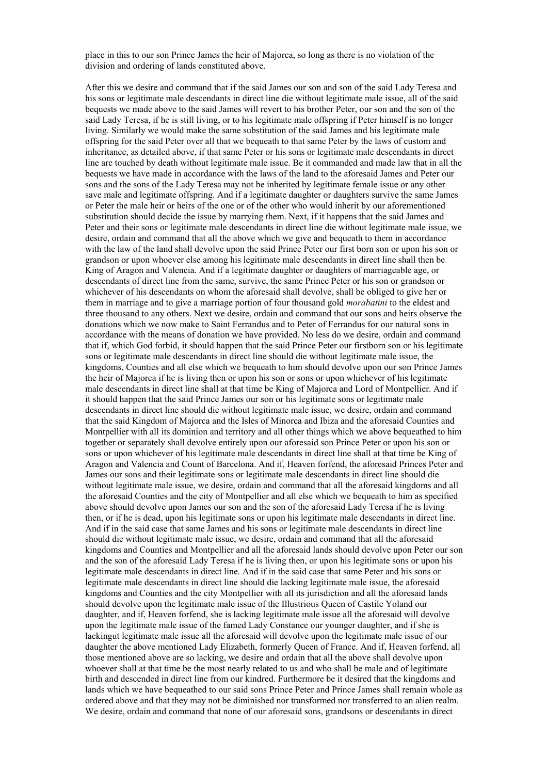place in this to our son Prince James the heir of Majorca, so long as there is no violation of the division and ordering of lands constituted above.

After this we desire and command that if the said James our son and son of the said Lady Teresa and his sons or legitimate male descendants in direct line die without legitimate male issue, all of the said bequests we made above to the said James will revert to his brother Peter, our son and the son of the said Lady Teresa, if he is still living, or to his legitimate male offspring if Peter himself is no longer living. Similarly we would make the same substitution of the said James and his legitimate male offspring for the said Peter over all that we bequeath to that same Peter by the laws of custom and inheritance, as detailed above, if that same Peter or his sons or legitimate male descendants in direct line are touched by death without legitimate male issue. Be it commanded and made law that in all the bequests we have made in accordance with the laws of the land to the aforesaid James and Peter our sons and the sons of the Lady Teresa may not be inherited by legitimate female issue or any other save male and legitimate offspring. And if a legitimate daughter or daughters survive the same James or Peter the male heir or heirs of the one or of the other who would inherit by our aforementioned substitution should decide the issue by marrying them. Next, if it happens that the said James and Peter and their sons or legitimate male descendants in direct line die without legitimate male issue, we desire, ordain and command that all the above which we give and bequeath to them in accordance with the law of the land shall devolve upon the said Prince Peter our first born son or upon his son or grandson or upon whoever else among his legitimate male descendants in direct line shall then be King of Aragon and Valencia. And if a legitimate daughter or daughters of marriageable age, or descendants of direct line from the same, survive, the same Prince Peter or his son or grandson or whichever of his descendants on whom the aforesaid shall devolve, shall be obliged to give her or them in marriage and to give a marriage portion of four thousand gold *morabatini* to the eldest and three thousand to any others. Next we desire, ordain and command that our sons and heirs observe the donations which we now make to Saint Ferrandus and to Peter of Ferrandus for our natural sons in accordance with the means of donation we have provided. No less do we desire, ordain and command that if, which God forbid, it should happen that the said Prince Peter our firstborn son or his legitimate sons or legitimate male descendants in direct line should die without legitimate male issue, the kingdoms, Counties and all else which we bequeath to him should devolve upon our son Prince James the heir of Majorca if he is living then or upon his son or sons or upon whichever of his legitimate male descendants in direct line shall at that time be King of Majorca and Lord of Montpellier. And if it should happen that the said Prince James our son or his legitimate sons or legitimate male descendants in direct line should die without legitimate male issue, we desire, ordain and command that the said Kingdom of Majorca and the Isles of Minorca and Ibiza and the aforesaid Counties and Montpellier with all its dominion and territory and all other things which we above bequeathed to him together or separately shall devolve entirely upon our aforesaid son Prince Peter or upon his son or sons or upon whichever of his legitimate male descendants in direct line shall at that time be King of Aragon and Valencia and Count of Barcelona. And if, Heaven forfend, the aforesaid Princes Peter and James our sons and their legitimate sons or legitimate male descendants in direct line should die without legitimate male issue, we desire, ordain and command that all the aforesaid kingdoms and all the aforesaid Counties and the city of Montpellier and all else which we bequeath to him as specified above should devolve upon James our son and the son of the aforesaid Lady Teresa if he is living then, or if he is dead, upon his legitimate sons or upon his legitimate male descendants in direct line. And if in the said case that same James and his sons or legitimate male descendants in direct line should die without legitimate male issue, we desire, ordain and command that all the aforesaid kingdoms and Counties and Montpellier and all the aforesaid lands should devolve upon Peter our son and the son of the aforesaid Lady Teresa if he is living then, or upon his legitimate sons or upon his legitimate male descendants in direct line. And if in the said case that same Peter and his sons or legitimate male descendants in direct line should die lacking legitimate male issue, the aforesaid kingdoms and Counties and the city Montpellier with all its jurisdiction and all the aforesaid lands should devolve upon the legitimate male issue of the Illustrious Queen of Castile Yoland our daughter, and if, Heaven forfend, she is lacking legitimate male issue all the aforesaid will devolve upon the legitimate male issue of the famed Lady Constance our younger daughter, and if she is lackingut legitimate male issue all the aforesaid will devolve upon the legitimate male issue of our daughter the above mentioned Lady Elizabeth, formerly Queen of France. And if, Heaven forfend, all those mentioned above are so lacking, we desire and ordain that all the above shall devolve upon whoever shall at that time be the most nearly related to us and who shall be male and of legitimate birth and descended in direct line from our kindred. Furthermore be it desired that the kingdoms and lands which we have bequeathed to our said sons Prince Peter and Prince James shall remain whole as ordered above and that they may not be diminished nor transformed nor transferred to an alien realm. We desire, ordain and command that none of our aforesaid sons, grandsons or descendants in direct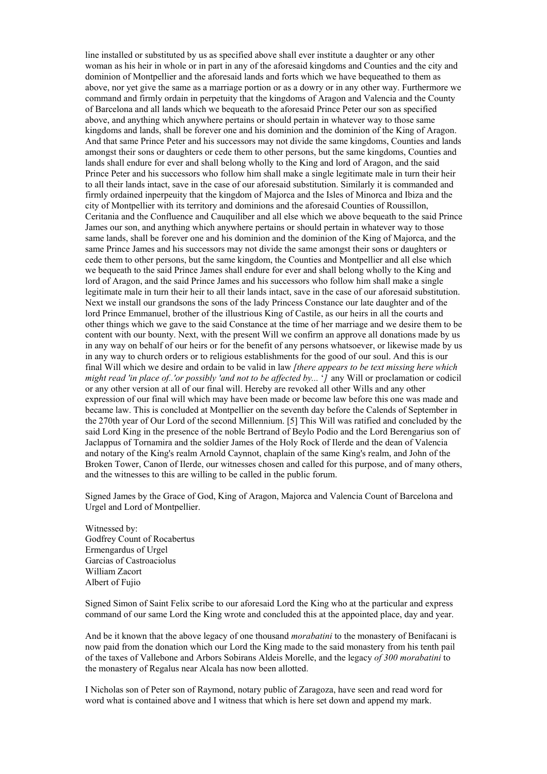line installed or substituted by us as specified above shall ever institute a daughter or any other woman as his heir in whole or in part in any of the aforesaid kingdoms and Counties and the city and dominion of Montpellier and the aforesaid lands and forts which we have bequeathed to them as above, nor yet give the same as a marriage portion or as a dowry or in any other way. Furthermore we command and firmly ordain in perpetuity that the kingdoms of Aragon and Valencia and the County of Barcelona and all lands which we bequeath to the aforesaid Prince Peter our son as specified above, and anything which anywhere pertains or should pertain in whatever way to those same kingdoms and lands, shall be forever one and his dominion and the dominion of the King of Aragon. And that same Prince Peter and his successors may not divide the same kingdoms, Counties and lands amongst their sons or daughters or cede them to other persons, but the same kingdoms, Counties and lands shall endure for ever and shall belong wholly to the King and lord of Aragon, and the said Prince Peter and his successors who follow him shall make a single legitimate male in turn their heir to all their lands intact, save in the case of our aforesaid substitution. Similarly it is commanded and firmly ordained inperpeuity that the kingdom of Majorca and the Isles of Minorca and Ibiza and the city of Montpellier with its territory and dominions and the aforesaid Counties of Roussillon, Ceritania and the Confluence and Cauquiliber and all else which we above bequeath to the said Prince James our son, and anything which anywhere pertains or should pertain in whatever way to those same lands, shall be forever one and his dominion and the dominion of the King of Majorca, and the same Prince James and his successors may not divide the same amongst their sons or daughters or cede them to other persons, but the same kingdom, the Counties and Montpellier and all else which we bequeath to the said Prince James shall endure for ever and shall belong wholly to the King and lord of Aragon, and the said Prince James and his successors who follow him shall make a single legitimate male in turn their heir to all their lands intact, save in the case of our aforesaid substitution. Next we install our grandsons the sons of the lady Princess Constance our late daughter and of the lord Prince Emmanuel, brother of the illustrious King of Castile, as our heirs in all the courts and other things which we gave to the said Constance at the time of her marriage and we desire them to be content with our bounty. Next, with the present Will we confirm an approve all donations made by us in any way on behalf of our heirs or for the benefit of any persons whatsoever, or likewise made by us in any way to church orders or to religious establishments for the good of our soul. And this is our final Will which we desire and ordain to be valid in law *[there appears to be text missing here which might read 'in place of..'or possibly 'and not to be affected by...* '*]* any Will or proclamation or codicil or any other version at all of our final will. Hereby are revoked all other Wills and any other expression of our final will which may have been made or become law before this one was made and became law. This is concluded at Montpellier on the seventh day before the Calends of September in the 270th year of Our Lord of the second Millennium. [5] This Will was ratified and concluded by the said Lord King in the presence of the noble Bertrand of Beylo Podio and the Lord Berengarius son of Jaclappus of Tornamira and the soldier James of the Holy Rock of Ilerde and the dean of Valencia and notary of the King's realm Arnold Caynnot, chaplain of the same King's realm, and John of the Broken Tower, Canon of Ilerde, our witnesses chosen and called for this purpose, and of many others, and the witnesses to this are willing to be called in the public forum.

Signed James by the Grace of God, King of Aragon, Majorca and Valencia Count of Barcelona and Urgel and Lord of Montpellier.

Witnessed by: Godfrey Count of Rocabertus Ermengardus of Urgel Garcias of Castroaciolus William Zacort Albert of Fujio

Signed Simon of Saint Felix scribe to our aforesaid Lord the King who at the particular and express command of our same Lord the King wrote and concluded this at the appointed place, day and year.

And be it known that the above legacy of one thousand *morabatini* to the monastery of Benifacani is now paid from the donation which our Lord the King made to the said monastery from his tenth pail of the taxes of Vallebone and Arbors Sobirans Aldeis Morelle, and the legacy *of 300 morabatini* to the monastery of Regalus near Alcala has now been allotted.

I Nicholas son of Peter son of Raymond, notary public of Zaragoza, have seen and read word for word what is contained above and I witness that which is here set down and append my mark.